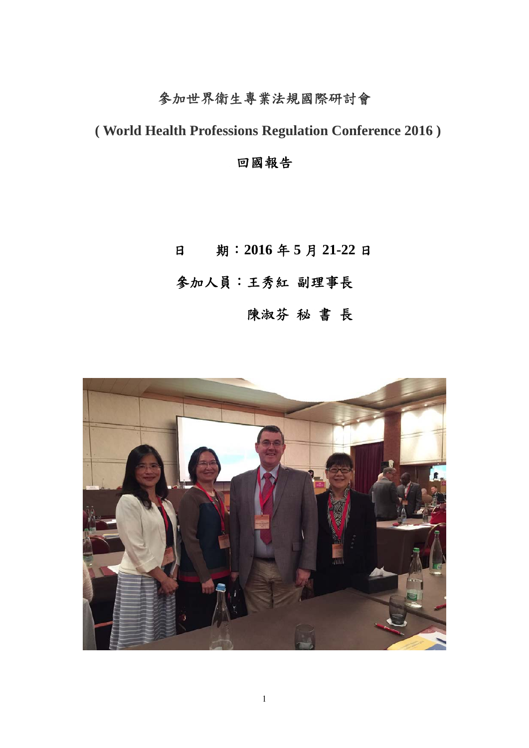## 參加世界衛生專業法規國際研討會

 **( World Health Professions Regulation Conference 2016 )** 

回國報告

日期:**2016** 年 **5** 月 **21-22** 日 參加人員:王秀紅 副理事長 陳淑芬 秘 書 長

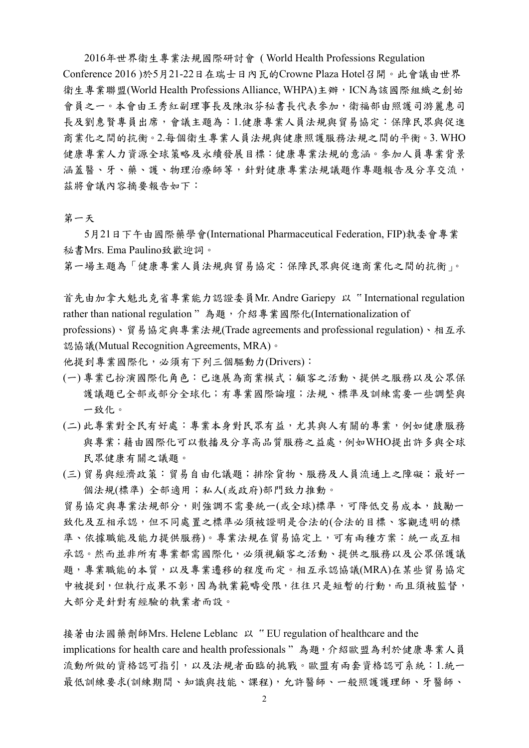2016年世界衛生專業法規國際研討會 ( World Health Professions Regulation Conference 2016 )於5月21-22日在瑞士日內瓦的Crowne Plaza Hotel召開。此會議由世界 衛生專業聯盟(World Health Professions Alliance, WHPA)主辦, ICN為該國際組織之創始 會員之一。本會由王秀紅副理事長及陳淑芬秘書長代表參加,衛福部由照護司游麗惠司 長及劉惠賢專員出席,會議主題為:1.健康專業人員法規與貿易協定:保障民眾與促進 商業化之間的抗衡。2.每個衛生專業人員法規與健康照護服務法規之間的平衡。3. WHO 健康專業人力資源全球策略及永續發展目標:健康專業法規的意涵。參加人員專業背景 涵蓋醫、牙、藥、護、物理治療師等,針對健康專業法規議題作專題報告及分享交流, 茲將會議內容摘要報告如下:

第一天

 5月21日下午由國際藥學會(International Pharmaceutical Federation, FIP)執委會專業 秘書Mrs. Ema Paulino致歡迎詞。

第一場主題為「健康專業人員法規與貿易協定:保障民眾與促進商業化之間的抗衡」。

首先由加拿大魁北克省專業能力認證委員Mr. Andre Gariepy 以 " International regulation rather than national regulation "為題,介紹專業國際化(Internationalization of professions)、貿易協定與專業法規(Trade agreements and professional regulation)、相互承 認協議(Mutual Recognition Agreements, MRA)。

他提到專業國際化,必須有下列三個驅動力(Drivers):

- (一) 專業已扮演國際化角色:已進展為商業模式;顧客之活動、提供之服務以及公眾保 議議題已全部或部分全球化;有專業國際論壇;法規、標準及訓練需要一些調整與 一致化。
- (二) 此專業對全民有好處:專業本身對民眾有益,尤其與人有關的專業,例如健康服務 與專業;藉由國際化可以散播及分享高品質服務之益處,例如WHO提出許多與全球 民眾健康有關之議題。
- (三) 貿易與經濟政策:貿易自由化議題;排除貨物、服務及人員流通上之障礙;最好一 個法規(標準) 全部適用;私人(或政府)部門致力推動。

貿易協定與專業法規部分,則強調不需要統一(或全球)標準,可降低交易成本,鼓勵一 致化及互相承認,但不同處置之標準必須被證明是合法的(合法的目標、客觀透明的標 準、依據職能及能力提供服務)。專業法規在貿易協定上,可有兩種方案:統一或互相 承認。然而並非所有專業都需國際化,必須視顧客之活動、提供之服務以及公眾保護議 題,專業職能的本質,以及專業遷移的程度而定。相互承認協議(MRA)在某些貿易協定 中被提到,但執行成果不彰,因為執業範疇受限,往往只是短暫的行動,而且須被監督, 大部分是針對有經驗的執業者而設。

接著由法國藥劑師Mrs. Helene Leblanc 以 " EU regulation of healthcare and the implications for health care and health professionals "為題, 介紹歐盟為利於健康專業人員 流動所做的資格認可指引,以及法規者面臨的挑戰。歐盟有兩套資格認可系統:1.統一 最低訓練要求(訓練期間、知識與技能、課程),允許醫師、一般照護護理師、牙醫師、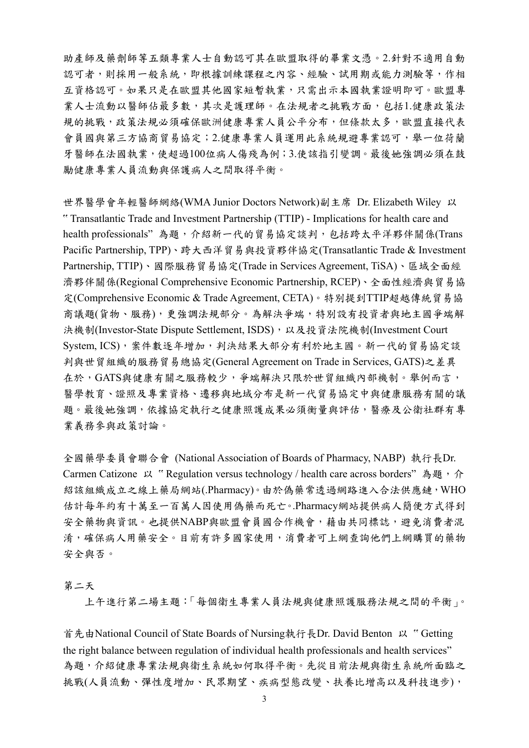助產師及藥劑師等五類專業人士自動認可其在歐盟取得的畢業文憑。2.針對不適用自動 認可者,則採用一般系統,即根據訓練課程之內容、經驗、試用期或能力測驗等,作相 互資格認可。如果只是在歐盟其他國家短暫執業,只需出示本國執業證明即可。歐盟專 業人士流動以醫師佔最多數,其次是護理師。在法規者之挑戰方面,包括1.健康政策法 規的挑戰,政策法規必須確保歐洲健康專業人員公平分布,但條款太多,歐盟直接代表 會員國與第三方協商貿易協定;2.健康專業人員運用此系統規避專業認可,舉一位荷蘭 牙醫師在法國執業,使超過100位病人傷殘為例;3.使該指引變調。最後她強調必須在鼓 勵健康專業人員流動與保護病人之間取得平衡。

世界醫學會年輕醫師網絡(WMA Junior Doctors Network)副主席 Dr. Elizabeth Wiley 以 " Transatlantic Trade and Investment Partnership (TTIP) - Implications for health care and health professionals"為題,介紹新一代的貿易協定談判,包括跨太平洋夥伴關係(Trans Pacific Partnership, TPP)、跨大西洋貿易與投資夥伴協定(Transatlantic Trade & Investment Partnership, TTIP)、國際服務貿易協定(Trade in Services Agreement, TiSA)、區域全面經 濟夥伴關係(Regional Comprehensive Economic Partnership, RCEP)、全面性經濟與貿易協 定(Comprehensive Economic & Trade Agreement, CETA)。特別提到TTIP超越傳統貿易協 商議題(貨物、服務),更強調法規部分。為解決爭端,特別設有投資者與地主國爭端解 決機制(Investor-State Dispute Settlement, ISDS), 以及投資法院機制(Investment Court System, ICS), 案件數逐年增加, 判決結果大部分有利於地主國。新一代的貿易協定談 判與世貿組織的服務貿易總協定(General Agreement on Trade in Services, GATS)之差異 在於,GATS與健康有關之服務較少,爭端解決只限於世貿組織內部機制。舉例而言, 醫學教育、證照及專業資格、遷移與地域分布是新一代貿易協定中與健康服務有關的議 題。最後她強調,依據協定執行之健康照護成果必須衡量與評估,醫療及公衛社群有專 業義務參與政策討論。

全國藥學委員會聯合會 (National Association of Boards of Pharmacy, NABP) 執行長Dr. Carmen Catizone 以 "Regulation versus technology / health care across borders" 為題,介 紹該組織成立之線上藥局網站(.Pharmacy)。由於偽藥常透過網路進入合法供應鏈,WHO 估計每年約有十萬至一百萬人因使用偽藥而死亡。.Pharmacy網站提供病人簡便方式得到 安全藥物與資訊。也提供NABP與歐盟會員國合作機會,藉由共同標誌,避免消費者混 淆,確保病人用藥安全。目前有許多國家使用,消費者可上網查詢他們上網購買的藥物 安全與否。

## 第二天

上午進行第二場主題:「每個衛生專業人員法規與健康照護服務法規之間的平衡」。

首先由National Council of State Boards of Nursing執行長Dr. David Benton 以 " Getting the right balance between regulation of individual health professionals and health services" 為題,介紹健康專業法規與衛生系統如何取得平衡。先從目前法規與衛生系統所面臨之 挑戰(人員流動、彈性度增加、民眾期望、疾病型態改變、扶養比增高以及科技進步),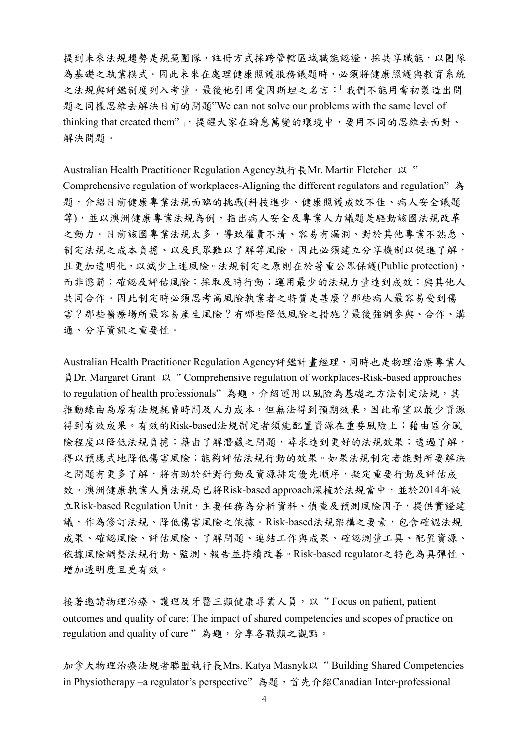提到未來法規趨勢是規範團隊,註冊方式採跨管轄區域職能認證,採共享職能,以團隊 為基礎之執業模式。因此未來在處理健康照護服務議題時,必須將健康照護與教育系統 之法規與評鑑制度列入考量。最後他引用愛因斯坦之名言:「我們不能用當初製造出問 題之同樣思維去解決目前的問題"We can not solve our problems with the same level of thinking that created them"」,提醒大家在瞬息萬變的環境中,要用不同的思維去面對、 解決問題。

Australian Health Practitioner Regulation Agency執行長Mr. Martin Fletcher 以 " Comprehensive regulation of workplaces-Aligning the different regulators and regulation" 為 題,介紹目前健康專業法規面臨的挑戰(科技進步、健康照護成效不佳、病人安全議題 等),並以澳洲健康專業法規為例,指出病人安全及專業人力議題是驅動該國法規改革 之動力。目前該國專業法規太多,導致權責不清、容易有漏洞、對於其他專業不熟悉、 制定法規之成本負擔、以及民眾難以了解等風險。因此必須建立分享機制以促進了解, 且更加透明化,以減少上述風險。法規制定之原則在於著重公眾保護(Public protection), 而非懲罰;確認及評估風險;採取及時行動;運用最少的法規力量達到成效;與其他人 共同合作。因此制定時必須思考高風險執業者之特質是甚麼?那些病人最容易受到傷 害?那些醫療場所最容易產生風險?有哪些降低風險之措施?最後強調參與、合作、溝 通、分享資訊之重要性。

Australian Health Practitioner Regulation Agency評鑑計畫經理,同時也是物理治療專業人 員Dr. Margaret Grant 以 " Comprehensive regulation of workplaces-Risk-based approaches to regulation of health professionals"為題,介紹運用以風險為基礎之方法制定法規,其 推動緣由為原有法規耗費時間及人力成本,但無法得到預期效果,因此希望以最少資源 得到有效成果。有效的Risk-based法規制定者須能配置資源在重要風險上;藉由區分風 險程度以降低法規負擔;藉由了解潛藏之問題,尋求達到更好的法規效果;透過了解, 得以預應式地降低傷害風險;能夠評估法規行動的效果。如果法規制定者能對所要解決 之問題有更多了解,將有助於針對行動及資源排定優先順序,擬定重要行動及評估成 效。澳洲健康執業人員法規局已將Risk-based approach深植於法規當中,並於2014年設 立Risk-based Regulation Unit,主要任務為分析資料、偵查及預測風險因子,提供實證建 議,作為修訂法規、降低傷害風險之依據。Risk-based法規架構之要素,包含確認法規 成果、確認風險、評估風險、了解問題、連結工作與成果、確認測量工具、配置資源、 依據風險調整法規行動、監測、報告並持續改善。Risk-based regulator之特色為具彈性、 增加透明度且更有效。

接著邀請物理治療、護理及牙醫三類健康專業人員,以 "Focus on patient, patient outcomes and quality of care: The impact of shared competencies and scopes of practice on regulation and quality of care "為題,分享各職類之觀點。

加拿大物理治療法規者聯盟執行長Mrs. Katya Masnyk以 " Building Shared Competencies in Physiotherapy –a regulator's perspective"為題, 首先介紹Canadian Inter-professional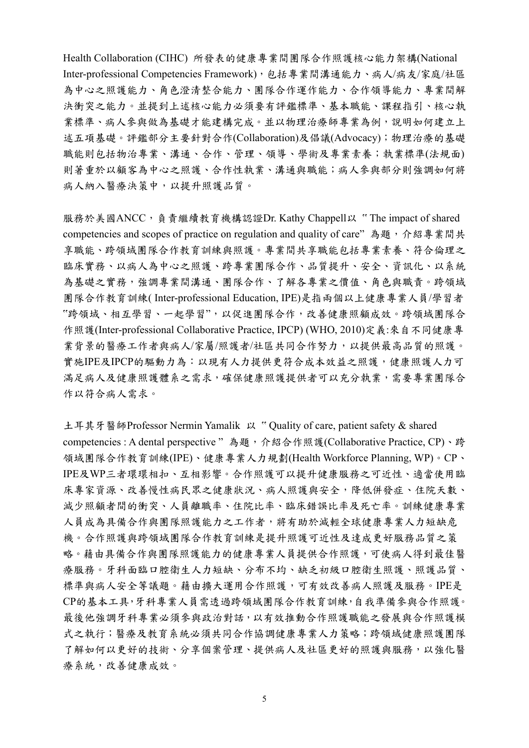Health Collaboration (CIHC) 所發表的健康專業間團隊合作照護核心能力架構(National Inter-professional Competencies Framework), 包括專業間溝通能力、病人/病友/家庭/社區 為中心之照護能力、角色澄清整合能力、團隊合作運作能力、合作領導能力、專業間解 決衝突之能力。並提到上述核心能力必須要有評鑑標準、基本職能、課程指引、核心執 業標準、病人參與做為基礎才能建構完成。並以物理治療師專業為例,說明如何建立上 述五項基礎。評鑑部分主要針對合作(Collaboration)及倡議(Advocacy);物理治療的基礎 職能則包括物治專業、溝通、合作、管理、領導、學術及專業素養;執業標準(法規面) 則著重於以顧客為中心之照護、合作性執業、溝通與職能;病人參與部分則強調如何將 病人納入醫療決策中,以提升照護品質。

服務於美國ANCC,負責繼續教育機構認證Dr. Kathy Chappell以 "The impact of shared competencies and scopes of practice on regulation and quality of care"為題,介紹專業間共 享職能、跨領域團隊合作教育訓練與照護。專業間共享職能包括專業素養、符合倫理之 臨床實務、以病人為中心之照護、跨專業團隊合作、品質提升、安全、資訊化、以系統 為基礎之實務,強調專業間溝通、團隊合作、了解各專業之價值、角色與職責。跨領域 團隊合作教育訓練( Inter-professional Education, IPE)是指兩個以上健康專業人員/學習者 "跨領域、相互學習、一起學習",以促進團隊合作,改善健康照顧成效。跨領域團隊合 作照護(Inter-professional Collaborative Practice, IPCP) (WHO, 2010)定義:來自不同健康專 業背景的醫療工作者與病人/家屬/照護者/社區共同合作努力,以提供最高品質的照護。 實施IPE及IPCP的驅動力為:以現有人力提供更符合成本效益之照護,健康照護人力可 滿足病人及健康照護體系之需求,確保健康照護提供者可以充分執業,需要專業團隊合 作以符合病人需求。

土耳其牙醫師Professor Nermin Yamalik 以 " Quality of care, patient safety & shared competencies : A dental perspective "為題,介紹合作照護(Collaborative Practice, CP)、跨 領域團隊合作教育訓練(IPE)、健康專業人力規劃(Health Workforce Planning, WP)。CP、 IPE及WP三者環環相扣、互相影響。合作照護可以提升健康服務之可近性、適當使用臨 床專家資源、改善慢性病民眾之健康狀況、病人照護與安全,降低併發症、住院天數、 減少照顧者間的衝突、人員離職率、住院比率、臨床錯誤比率及死亡率。訓練健康專業 人員成為具備合作與團隊照護能力之工作者,將有助於減輕全球健康專業人力短缺危 機。合作照護與跨領域團隊合作教育訓練是提升照護可近性及達成更好服務品質之策 略。藉由具備合作與團隊照護能力的健康專業人員提供合作照護,可使病人得到最佳醫 療服務。牙科面臨口腔衛生人力短缺、分布不均、缺乏初級口腔衛生照護、照護品質、 標準與病人安全等議題。藉由擴大運用合作照護,可有效改善病人照護及服務。IPE是 CP的基本工具,牙科專業人員需透過跨領域團隊合作教育訓練,自我準備參與合作照護。 最後他強調牙科專業必須參與政治對話,以有效推動合作照護職能之發展與合作照護模 式之執行;醫療及教育系統必須共同合作協調健康專業人力策略;跨領域健康照護團隊 了解如何以更好的技術、分享個案管理、提供病人及社區更好的照護與服務,以強化醫 療系統,改善健康成效。

5